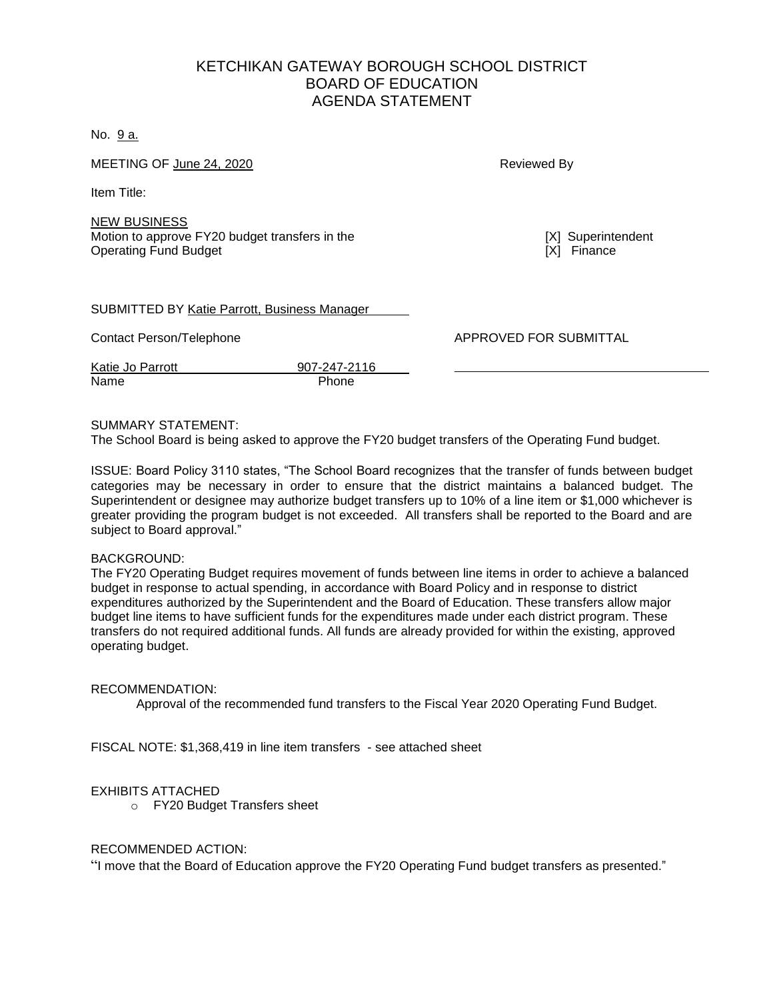# KETCHIKAN GATEWAY BOROUGH SCHOOL DISTRICT BOARD OF EDUCATION AGENDA STATEMENT

No. 9 a.

MEETING OF June 24, 2020 **Reviewed By Reviewed By** 

Item Title:

NEW BUSINESS Motion to approve FY20 budget transfers in the **[X]** Superintendent **Operating Fund Budget CONSERVING THE CONSERVING THE CONSERVING TO A REPORT OF THE CONSERVING THE CONSERVING TO A REPORT OF THE CONSERVING THE CONSERVING TO A REPORT OF THE CONSERVING TO A REPORT OF THE CONSERVING THE C** 

| <b>SUBMITTED BY Katie Parrott, Business Manager</b> |
|-----------------------------------------------------|
|-----------------------------------------------------|

Contact Person/Telephone **APPROVED FOR SUBMITTAL** 

Katie Jo Parrott 907-247-2116 Name Phone

### SUMMARY STATEMENT:

The School Board is being asked to approve the FY20 budget transfers of the Operating Fund budget.

ISSUE: Board Policy 3110 states, "The School Board recognizes that the transfer of funds between budget categories may be necessary in order to ensure that the district maintains a balanced budget. The Superintendent or designee may authorize budget transfers up to 10% of a line item or \$1,000 whichever is greater providing the program budget is not exceeded. All transfers shall be reported to the Board and are subject to Board approval."

#### BACKGROUND:

The FY20 Operating Budget requires movement of funds between line items in order to achieve a balanced budget in response to actual spending, in accordance with Board Policy and in response to district expenditures authorized by the Superintendent and the Board of Education. These transfers allow major budget line items to have sufficient funds for the expenditures made under each district program. These transfers do not required additional funds. All funds are already provided for within the existing, approved operating budget.

#### RECOMMENDATION:

Approval of the recommended fund transfers to the Fiscal Year 2020 Operating Fund Budget.

FISCAL NOTE: \$1,368,419 in line item transfers - see attached sheet

#### EXHIBITS ATTACHED

o FY20 Budget Transfers sheet

#### RECOMMENDED ACTION:

"I move that the Board of Education approve the FY20 Operating Fund budget transfers as presented."